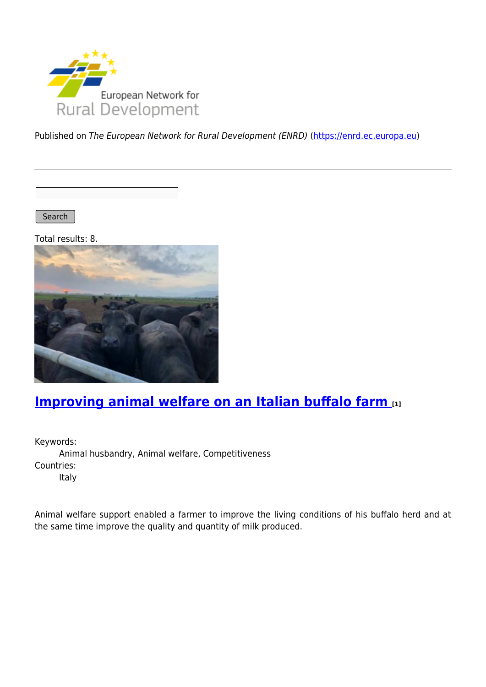

Published on The European Network for Rural Development (ENRD) [\(https://enrd.ec.europa.eu](https://enrd.ec.europa.eu))

Search |

Total results: 8.



## **[Improving animal welfare on an Italian buffalo farm](https://enrd.ec.europa.eu/projects-practice/improving-animal-welfare-italian-buffalo-farm_en) [1]**

Keywords: Animal husbandry, Animal welfare, Competitiveness Countries: Italy

Animal welfare support enabled a farmer to improve the living conditions of his buffalo herd and at the same time improve the quality and quantity of milk produced.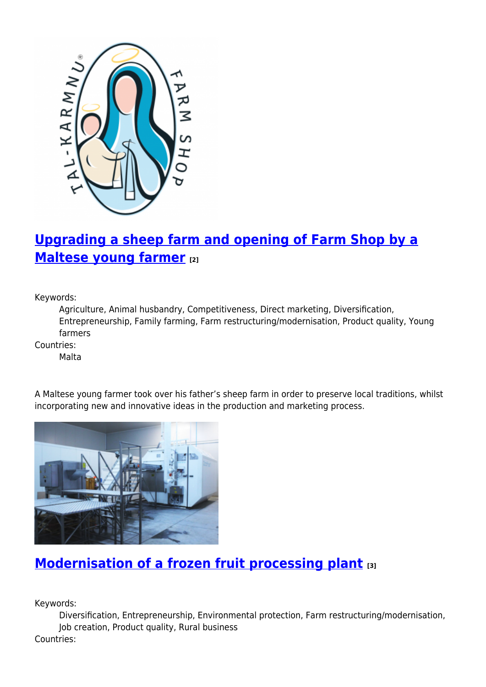

# **[Upgrading a sheep farm and opening of Farm Shop by a](https://enrd.ec.europa.eu/projects-practice/upgrading-sheep-farm-and-opening-farm-shop-maltese-young-farmer_en) [Maltese young farmer](https://enrd.ec.europa.eu/projects-practice/upgrading-sheep-farm-and-opening-farm-shop-maltese-young-farmer_en) [2]**

Keywords:

Agriculture, Animal husbandry, Competitiveness, Direct marketing, Diversification, Entrepreneurship, Family farming, Farm restructuring/modernisation, Product quality, Young farmers

Countries:

Malta



A Maltese young farmer took over his father's sheep farm in order to preserve local traditions, whilst incorporating new and innovative ideas in the production and marketing process.

## **[Modernisation of a frozen fruit processing plant](https://enrd.ec.europa.eu/projects-practice/modernisation-frozen-fruit-processing-plant_en) [3]**

Keywords:

Diversification, Entrepreneurship, Environmental protection, Farm restructuring/modernisation, Job creation, Product quality, Rural business Countries: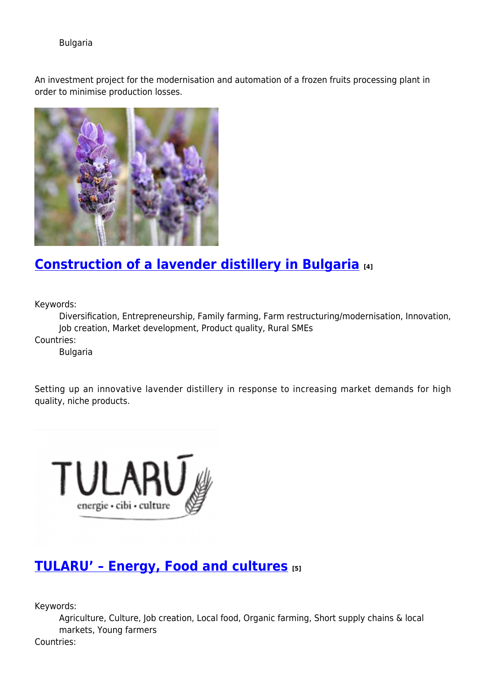### Bulgaria

An investment project for the modernisation and automation of a frozen fruits processing plant in order to minimise production losses.



## **[Construction of a lavender distillery in Bulgaria](https://enrd.ec.europa.eu/projects-practice/construction-lavender-distillery-bulgaria_en) [4]**

Keywords:

Diversification, Entrepreneurship, Family farming, Farm restructuring/modernisation, Innovation, Job creation, Market development, Product quality, Rural SMEs

Countries:

Bulgaria

Setting up an innovative lavender distillery in response to increasing market demands for high quality, niche products.



## **[TULARU' – Energy, Food and cultures](https://enrd.ec.europa.eu/projects-practice/tularu-energy-food-and-cultures_en) [5]**

Keywords:

Agriculture, Culture, Job creation, Local food, Organic farming, Short supply chains & local markets, Young farmers

Countries: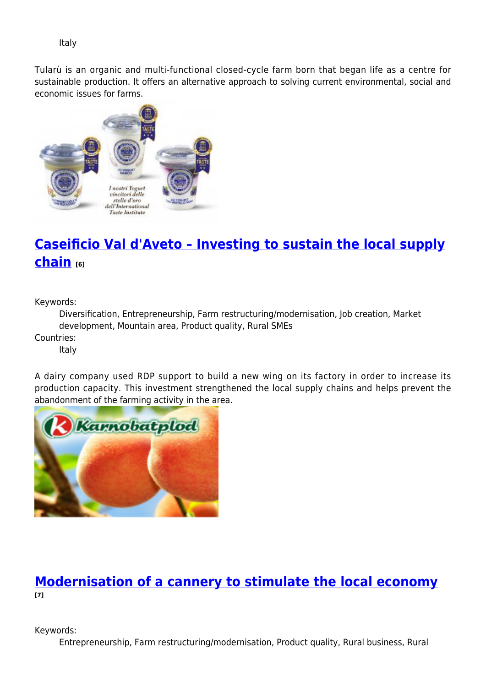Italy

Tularù is an organic and multi-functional closed-cycle farm born that began life as a centre for sustainable production. It offers an alternative approach to solving current environmental, social and economic issues for farms.



# **[Caseificio Val d'Aveto – Investing to sustain the local supply](https://enrd.ec.europa.eu/projects-practice/caseificio-val-daveto-investing-sustain-local-supply-chain_en) [chain](https://enrd.ec.europa.eu/projects-practice/caseificio-val-daveto-investing-sustain-local-supply-chain_en) [6]**

Keywords:

Diversification, Entrepreneurship, Farm restructuring/modernisation, Job creation, Market development, Mountain area, Product quality, Rural SMEs

Countries:

Italy

A dairy company used RDP support to build a new wing on its factory in order to increase its production capacity. This investment strengthened the local supply chains and helps prevent the abandonment of the farming activity in the area.



## **[Modernisation of a cannery to stimulate the local economy](https://enrd.ec.europa.eu/projects-practice/modernisation-cannery-stimulate-local-economy_en) [7]**

Keywords:

Entrepreneurship, Farm restructuring/modernisation, Product quality, Rural business, Rural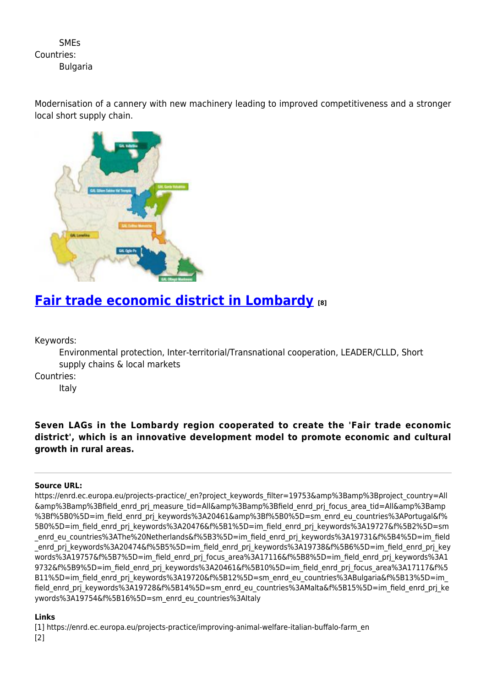**SMFs** Countries: **Bulgaria** 

Modernisation of a cannery with new machinery leading to improved competitiveness and a stronger local short supply chain.



## **[Fair trade economic district in Lombardy](https://enrd.ec.europa.eu/projects-practice/fair-trade-economic-district-lombardy_en) [8]**

Keywords:

Environmental protection, Inter-territorial/Transnational cooperation, LEADER/CLLD, Short supply chains & local markets

Countries:

Italy

### **Seven LAGs in the Lombardy region cooperated to create the 'Fair trade economic district', which is an innovative development model to promote economic and cultural growth in rural areas.**

#### **Source URL:**

https://enrd.ec.europa.eu/projects-practice/\_en?project\_keywords\_filter=19753&amp%3Bamp%3Bproject\_country=All &amp%3Bamp%3Bfield\_enrd\_prj\_measure\_tid=All&amp%3Bamp%3Bfield\_enrd\_prj\_focus\_area\_tid=All&amp%3Bamp %3Bf%5B0%5D=im\_field\_enrd\_prj\_keywords%3A20461&amp%3Bf%5B0%5D=sm\_enrd\_eu\_countries%3APortugal&f% 5B0%5D=im\_field\_enrd\_prj\_keywords%3A20476&f%5B1%5D=im\_field\_enrd\_prj\_keywords%3A19727&f%5B2%5D=sm \_enrd\_eu\_countries%3AThe%20Netherlands&f%5B3%5D=im\_field\_enrd\_prj\_keywords%3A19731&f%5B4%5D=im\_field enrd prj keywords%3A20474&f%5B5%5D=im\_field\_enrd\_prj\_keywords%3A19738&f%5B6%5D=im\_field\_enrd\_prj\_key words%3A19757&f%5B7%5D=im\_field\_enrd\_prj\_focus\_area%3A17116&f%5B8%5D=im\_field\_enrd\_prj\_keywords%3A1 9732&f%5B9%5D=im\_field\_enrd\_prj\_keywords%3A20461&f%5B10%5D=im\_field\_enrd\_prj\_focus\_area%3A17117&f%5 B11%5D=im field\_enrd\_prj\_keywords%3A19720&f%5B12%5D=sm\_enrd\_eu\_countries%3ABulgaria&f%5B13%5D=im field\_enrd\_prj\_keywords%3A19728&f%5B14%5D=sm\_enrd\_eu\_countries%3AMalta&f%5B15%5D=im\_field\_enrd\_prj\_ke ywords%3A19754&f%5B16%5D=sm\_enrd\_eu\_countries%3AItaly

#### **Links**

[1] https://enrd.ec.europa.eu/projects-practice/improving-animal-welfare-italian-buffalo-farm\_en [2]